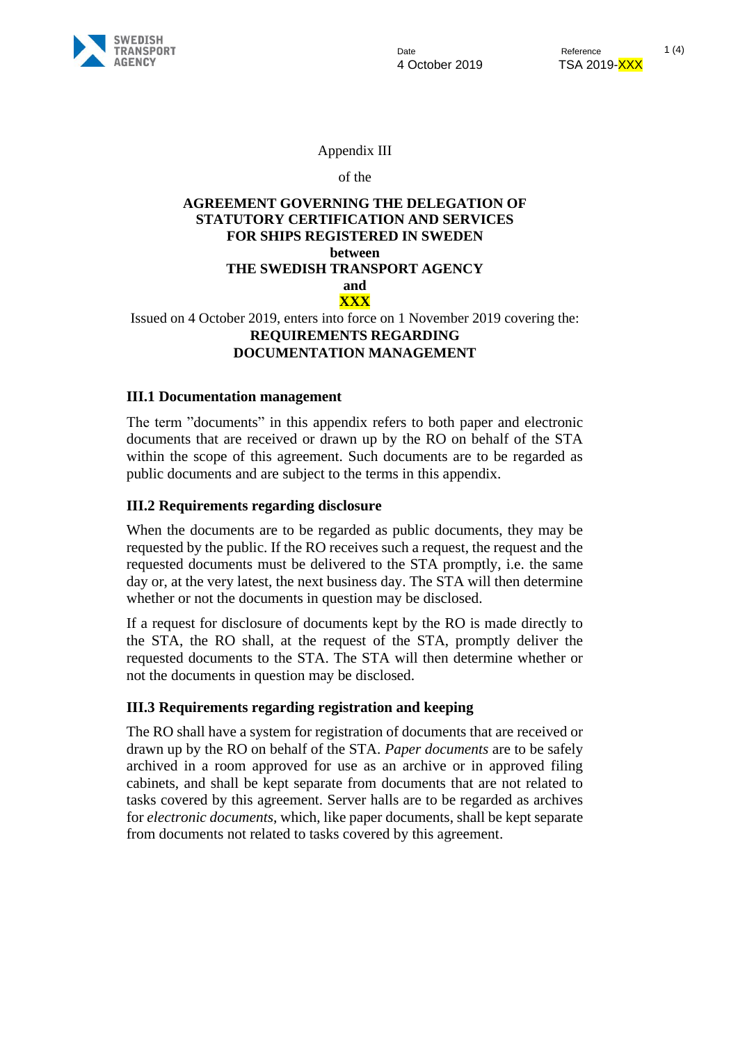

Appendix III

of the

# **AGREEMENT GOVERNING THE DELEGATION OF STATUTORY CERTIFICATION AND SERVICES FOR SHIPS REGISTERED IN SWEDEN between THE SWEDISH TRANSPORT AGENCY and XXX**

Issued on 4 October 2019, enters into force on 1 November 2019 covering the: **REQUIREMENTS REGARDING DOCUMENTATION MANAGEMENT**

#### **III.1 Documentation management**

The term "documents" in this appendix refers to both paper and electronic documents that are received or drawn up by the RO on behalf of the STA within the scope of this agreement. Such documents are to be regarded as public documents and are subject to the terms in this appendix.

#### **III.2 Requirements regarding disclosure**

When the documents are to be regarded as public documents, they may be requested by the public. If the RO receives such a request, the request and the requested documents must be delivered to the STA promptly, i.e. the same day or, at the very latest, the next business day. The STA will then determine whether or not the documents in question may be disclosed.

If a request for disclosure of documents kept by the RO is made directly to the STA, the RO shall, at the request of the STA, promptly deliver the requested documents to the STA. The STA will then determine whether or not the documents in question may be disclosed.

## **III.3 Requirements regarding registration and keeping**

The RO shall have a system for registration of documents that are received or drawn up by the RO on behalf of the STA. *Paper documents* are to be safely archived in a room approved for use as an archive or in approved filing cabinets, and shall be kept separate from documents that are not related to tasks covered by this agreement. Server halls are to be regarded as archives for *electronic documents*, which, like paper documents, shall be kept separate from documents not related to tasks covered by this agreement.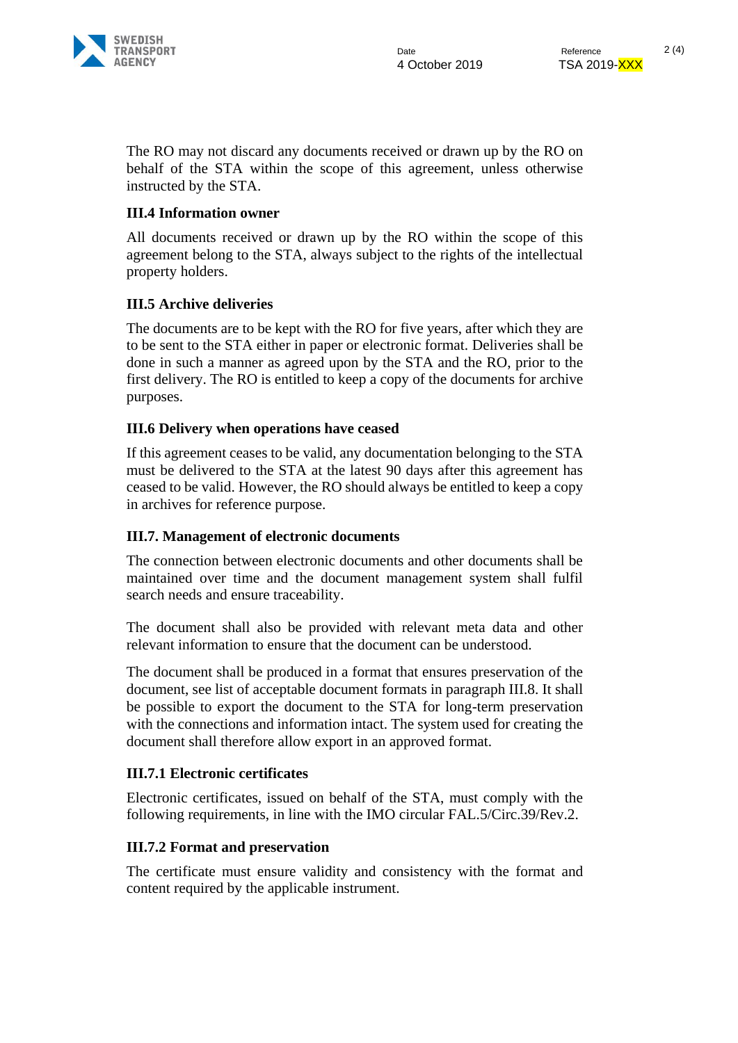

The RO may not discard any documents received or drawn up by the RO on behalf of the STA within the scope of this agreement, unless otherwise instructed by the STA.

## **III.4 Information owner**

All documents received or drawn up by the RO within the scope of this agreement belong to the STA, always subject to the rights of the intellectual property holders.

# **III.5 Archive deliveries**

The documents are to be kept with the RO for five years, after which they are to be sent to the STA either in paper or electronic format. Deliveries shall be done in such a manner as agreed upon by the STA and the RO, prior to the first delivery. The RO is entitled to keep a copy of the documents for archive purposes.

## **III.6 Delivery when operations have ceased**

If this agreement ceases to be valid, any documentation belonging to the STA must be delivered to the STA at the latest 90 days after this agreement has ceased to be valid. However, the RO should always be entitled to keep a copy in archives for reference purpose.

## **III.7. Management of electronic documents**

The connection between electronic documents and other documents shall be maintained over time and the document management system shall fulfil search needs and ensure traceability.

The document shall also be provided with relevant meta data and other relevant information to ensure that the document can be understood.

The document shall be produced in a format that ensures preservation of the document, see list of acceptable document formats in paragraph III.8. It shall be possible to export the document to the STA for long-term preservation with the connections and information intact. The system used for creating the document shall therefore allow export in an approved format.

## **III.7.1 Electronic certificates**

Electronic certificates, issued on behalf of the STA, must comply with the following requirements, in line with the IMO circular FAL.5/Circ.39/Rev.2.

## **III.7.2 Format and preservation**

The certificate must ensure validity and consistency with the format and content required by the applicable instrument.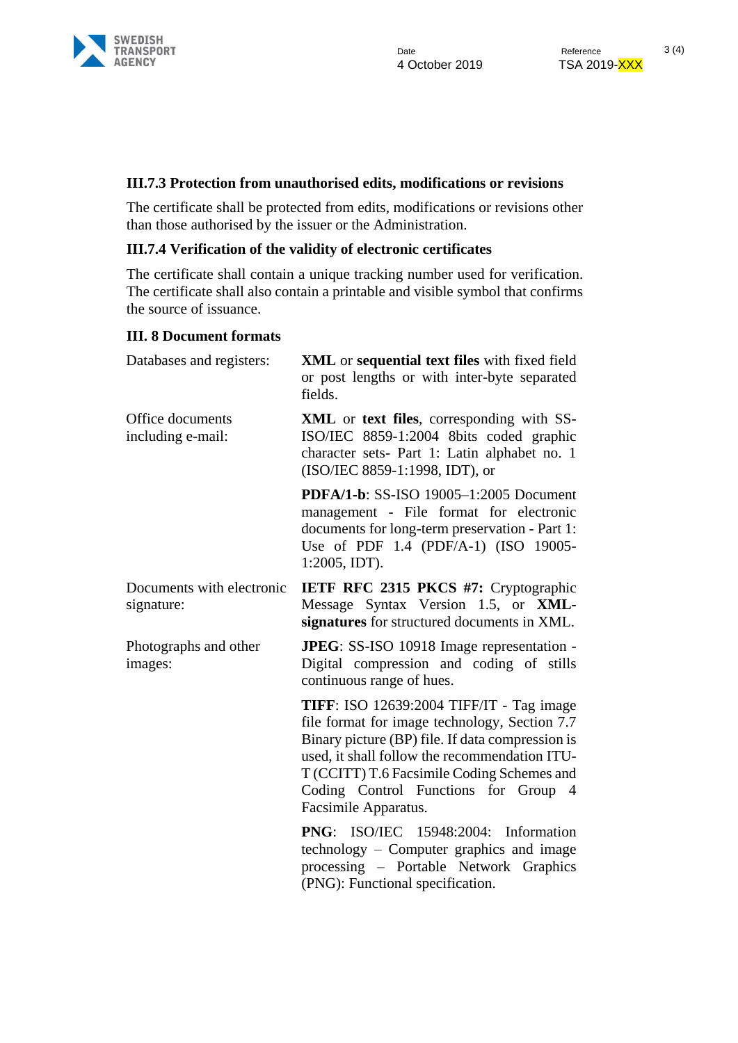

#### **III.7.3 Protection from unauthorised edits, modifications or revisions**

The certificate shall be protected from edits, modifications or revisions other than those authorised by the issuer or the Administration.

#### **III.7.4 Verification of the validity of electronic certificates**

The certificate shall contain a unique tracking number used for verification. The certificate shall also contain a printable and visible symbol that confirms the source of issuance.

#### **III. 8 Document formats**

| Databases and registers:                | <b>XML</b> or sequential text files with fixed field<br>or post lengths or with inter-byte separated<br>fields.                                                                                                                                                                                                      |
|-----------------------------------------|----------------------------------------------------------------------------------------------------------------------------------------------------------------------------------------------------------------------------------------------------------------------------------------------------------------------|
| Office documents<br>including e-mail:   | XML or text files, corresponding with SS-<br>ISO/IEC 8859-1:2004 8bits coded graphic<br>character sets- Part 1: Latin alphabet no. 1<br>(ISO/IEC 8859-1:1998, IDT), or                                                                                                                                               |
|                                         | PDFA/1-b: SS-ISO 19005-1:2005 Document<br>management - File format for electronic<br>documents for long-term preservation - Part 1:<br>Use of PDF 1.4 (PDF/A-1) (ISO 19005-<br>$1:2005$ , IDT).                                                                                                                      |
| Documents with electronic<br>signature: | <b>IETF RFC 2315 PKCS #7: Cryptographic</b><br>Message Syntax Version 1.5, or XML-<br>signatures for structured documents in XML.                                                                                                                                                                                    |
| Photographs and other<br>images:        | <b>JPEG</b> : SS-ISO 10918 Image representation -<br>Digital compression and coding of stills<br>continuous range of hues.                                                                                                                                                                                           |
|                                         | <b>TIFF</b> : ISO 12639:2004 TIFF/IT - Tag image<br>file format for image technology, Section 7.7<br>Binary picture (BP) file. If data compression is<br>used, it shall follow the recommendation ITU-<br>T (CCITT) T.6 Facsimile Coding Schemes and<br>Coding Control Functions for Group 4<br>Facsimile Apparatus. |
|                                         | <b>PNG:</b> ISO/IEC 15948:2004: Information<br>technology – Computer graphics and image<br>processing – Portable Network Graphics<br>(PNG): Functional specification.                                                                                                                                                |